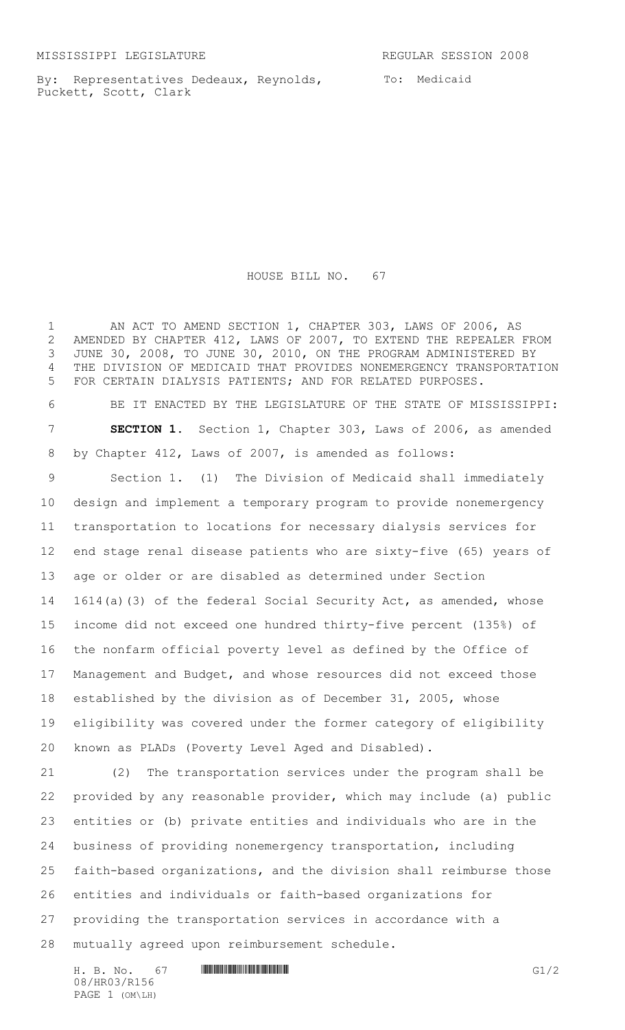By: Representatives Dedeaux, Reynolds, Puckett, Scott, Clark

To: Medicaid

## HOUSE BILL NO. 67

1 AN ACT TO AMEND SECTION 1, CHAPTER 303, LAWS OF 2006, AS AMENDED BY CHAPTER 412, LAWS OF 2007, TO EXTEND THE REPEALER FROM JUNE 30, 2008, TO JUNE 30, 2010, ON THE PROGRAM ADMINISTERED BY THE DIVISION OF MEDICAID THAT PROVIDES NONEMERGENCY TRANSPORTATION FOR CERTAIN DIALYSIS PATIENTS; AND FOR RELATED PURPOSES. BE IT ENACTED BY THE LEGISLATURE OF THE STATE OF MISSISSIPPI: **SECTION 1.** Section 1, Chapter 303, Laws of 2006, as amended by Chapter 412, Laws of 2007, is amended as follows: Section 1. (1) The Division of Medicaid shall immediately design and implement a temporary program to provide nonemergency transportation to locations for necessary dialysis services for end stage renal disease patients who are sixty-five (65) years of age or older or are disabled as determined under Section 1614(a)(3) of the federal Social Security Act, as amended, whose income did not exceed one hundred thirty-five percent (135%) of the nonfarm official poverty level as defined by the Office of Management and Budget, and whose resources did not exceed those established by the division as of December 31, 2005, whose eligibility was covered under the former category of eligibility known as PLADs (Poverty Level Aged and Disabled). (2) The transportation services under the program shall be provided by any reasonable provider, which may include (a) public entities or (b) private entities and individuals who are in the business of providing nonemergency transportation, including faith-based organizations, and the division shall reimburse those entities and individuals or faith-based organizations for providing the transportation services in accordance with a mutually agreed upon reimbursement schedule.

H. B. No. 67 **HRO3/R156** G1/2 08/HR03/R156 PAGE 1 (OM\LH)